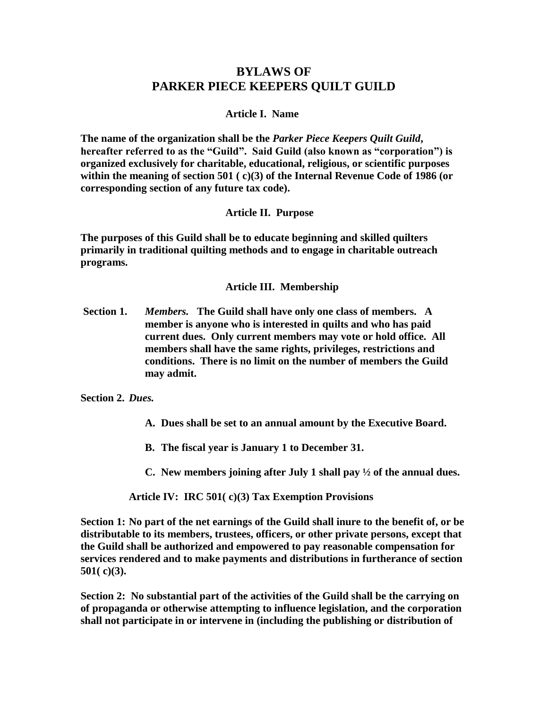# **BYLAWS OF PARKER PIECE KEEPERS QUILT GUILD**

#### **Article I. Name**

**The name of the organization shall be the** *Parker Piece Keepers Quilt Guild***, hereafter referred to as the "Guild". Said Guild (also known as "corporation") is organized exclusively for charitable, educational, religious, or scientific purposes within the meaning of section 501 ( c)(3) of the Internal Revenue Code of 1986 (or corresponding section of any future tax code).**

#### **Article II. Purpose**

**The purposes of this Guild shall be to educate beginning and skilled quilters primarily in traditional quilting methods and to engage in charitable outreach programs.**

#### **Article III. Membership**

**Section 1.** *Members.* **The Guild shall have only one class of members. A member is anyone who is interested in quilts and who has paid current dues. Only current members may vote or hold office. All members shall have the same rights, privileges, restrictions and conditions. There is no limit on the number of members the Guild may admit.**

**Section 2.** *Dues.*

- **A. Dues shall be set to an annual amount by the Executive Board.**
- **B. The fiscal year is January 1 to December 31.**
- **C. New members joining after July 1 shall pay ½ of the annual dues.**

**Article IV: IRC 501( c)(3) Tax Exemption Provisions**

**Section 1: No part of the net earnings of the Guild shall inure to the benefit of, or be distributable to its members, trustees, officers, or other private persons, except that the Guild shall be authorized and empowered to pay reasonable compensation for services rendered and to make payments and distributions in furtherance of section 501( c)(3).**

**Section 2: No substantial part of the activities of the Guild shall be the carrying on of propaganda or otherwise attempting to influence legislation, and the corporation shall not participate in or intervene in (including the publishing or distribution of**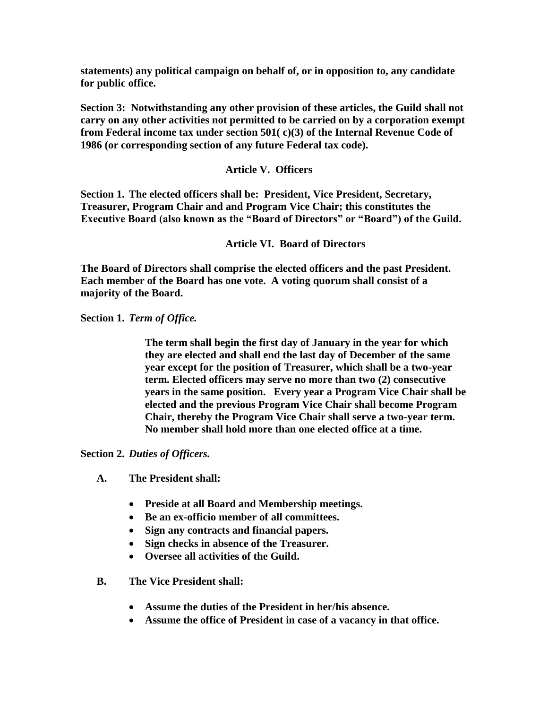**statements) any political campaign on behalf of, or in opposition to, any candidate for public office.**

**Section 3: Notwithstanding any other provision of these articles, the Guild shall not carry on any other activities not permitted to be carried on by a corporation exempt from Federal income tax under section 501( c)(3) of the Internal Revenue Code of 1986 (or corresponding section of any future Federal tax code).**

## **Article V. Officers**

**Section 1. The elected officers shall be: President, Vice President, Secretary, Treasurer, Program Chair and and Program Vice Chair; this constitutes the Executive Board (also known as the "Board of Directors" or "Board") of the Guild.**

**Article VI. Board of Directors**

**The Board of Directors shall comprise the elected officers and the past President. Each member of the Board has one vote. A voting quorum shall consist of a majority of the Board.**

**Section 1.** *Term of Office.*

**The term shall begin the first day of January in the year for which they are elected and shall end the last day of December of the same year except for the position of Treasurer, which shall be a two-year term. Elected officers may serve no more than two (2) consecutive years in the same position. Every year a Program Vice Chair shall be elected and the previous Program Vice Chair shall become Program Chair, thereby the Program Vice Chair shall serve a two-year term. No member shall hold more than one elected office at a time.** 

**Section 2.** *Duties of Officers.*

- **A. The President shall:**
	- **Preside at all Board and Membership meetings.**
	- **Be an ex-officio member of all committees.**
	- **Sign any contracts and financial papers.**
	- **Sign checks in absence of the Treasurer.**
	- **Oversee all activities of the Guild.**
- **B. The Vice President shall:**
	- **Assume the duties of the President in her/his absence.**
	- **Assume the office of President in case of a vacancy in that office.**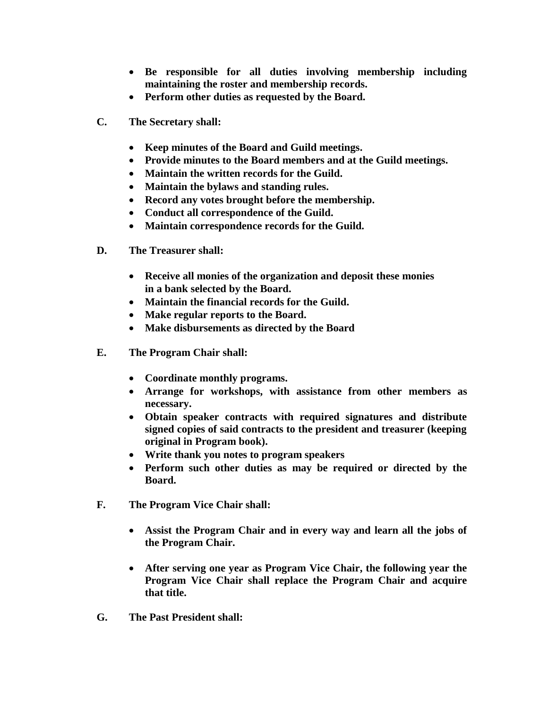- **Be responsible for all duties involving membership including maintaining the roster and membership records.**
- **Perform other duties as requested by the Board.**
- **C. The Secretary shall:**
	- **Keep minutes of the Board and Guild meetings.**
	- **Provide minutes to the Board members and at the Guild meetings.**
	- **Maintain the written records for the Guild.**
	- **Maintain the bylaws and standing rules.**
	- **Record any votes brought before the membership.**
	- **Conduct all correspondence of the Guild.**
	- **Maintain correspondence records for the Guild.**
- **D. The Treasurer shall:**
	- **Receive all monies of the organization and deposit these monies in a bank selected by the Board.**
	- **Maintain the financial records for the Guild.**
	- **Make regular reports to the Board.**
	- **Make disbursements as directed by the Board**
- **E. The Program Chair shall:**
	- **Coordinate monthly programs.**
	- **Arrange for workshops, with assistance from other members as necessary.**
	- **Obtain speaker contracts with required signatures and distribute signed copies of said contracts to the president and treasurer (keeping original in Program book).**
	- **Write thank you notes to program speakers**
	- **Perform such other duties as may be required or directed by the Board.**
- **F. The Program Vice Chair shall:**
	- **Assist the Program Chair and in every way and learn all the jobs of the Program Chair.**
	- **After serving one year as Program Vice Chair, the following year the Program Vice Chair shall replace the Program Chair and acquire that title.**
- **G. The Past President shall:**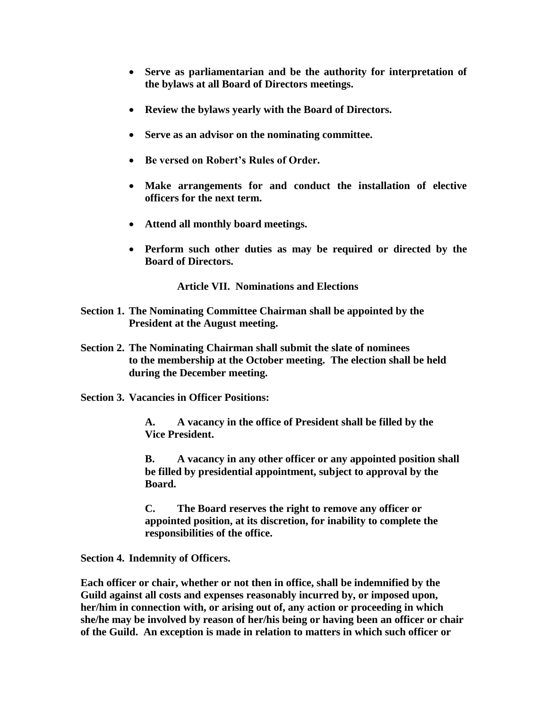- **Serve as parliamentarian and be the authority for interpretation of the bylaws at all Board of Directors meetings.**
- **Review the bylaws yearly with the Board of Directors.**
- **Serve as an advisor on the nominating committee.**
- **Be versed on Robert's Rules of Order.**
- **Make arrangements for and conduct the installation of elective officers for the next term.**
- **Attend all monthly board meetings.**
- **Perform such other duties as may be required or directed by the Board of Directors.**

**Article VII. Nominations and Elections**

- **Section 1. The Nominating Committee Chairman shall be appointed by the President at the August meeting.**
- **Section 2. The Nominating Chairman shall submit the slate of nominees to the membership at the October meeting. The election shall be held during the December meeting.**
- **Section 3. Vacancies in Officer Positions:**

**A. A vacancy in the office of President shall be filled by the Vice President.**

**B. A vacancy in any other officer or any appointed position shall be filled by presidential appointment, subject to approval by the Board.**

**C. The Board reserves the right to remove any officer or appointed position, at its discretion, for inability to complete the responsibilities of the office.**

**Section 4. Indemnity of Officers.**

**Each officer or chair, whether or not then in office, shall be indemnified by the Guild against all costs and expenses reasonably incurred by, or imposed upon, her/him in connection with, or arising out of, any action or proceeding in which she/he may be involved by reason of her/his being or having been an officer or chair of the Guild. An exception is made in relation to matters in which such officer or**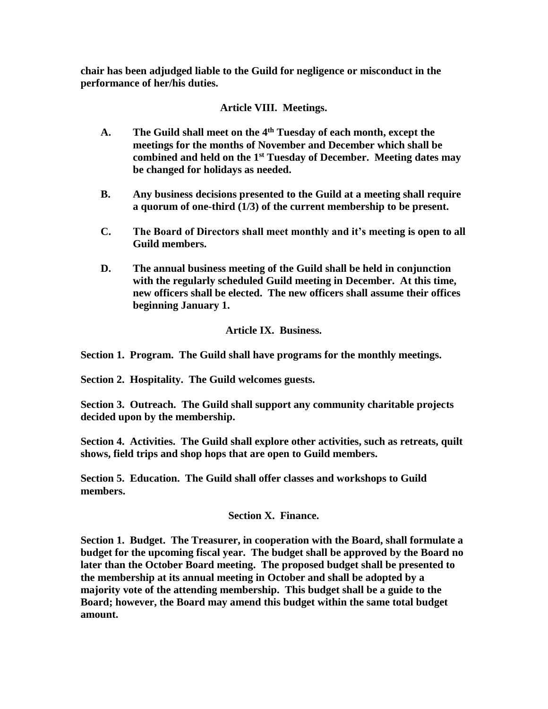**chair has been adjudged liable to the Guild for negligence or misconduct in the performance of her/his duties.**

## **Article VIII. Meetings.**

- **A. The Guild shall meet on the 4th Tuesday of each month, except the meetings for the months of November and December which shall be combined and held on the 1st Tuesday of December. Meeting dates may be changed for holidays as needed.**
- **B. Any business decisions presented to the Guild at a meeting shall require a quorum of one-third (1/3) of the current membership to be present.**
- **C. The Board of Directors shall meet monthly and it's meeting is open to all Guild members.**
- **D. The annual business meeting of the Guild shall be held in conjunction with the regularly scheduled Guild meeting in December. At this time, new officers shall be elected. The new officers shall assume their offices beginning January 1.**

## **Article IX. Business.**

**Section 1. Program. The Guild shall have programs for the monthly meetings.**

**Section 2. Hospitality. The Guild welcomes guests.**

**Section 3. Outreach. The Guild shall support any community charitable projects decided upon by the membership.** 

**Section 4. Activities. The Guild shall explore other activities, such as retreats, quilt shows, field trips and shop hops that are open to Guild members.**

**Section 5. Education. The Guild shall offer classes and workshops to Guild members.**

### **Section X. Finance.**

**Section 1. Budget. The Treasurer, in cooperation with the Board, shall formulate a budget for the upcoming fiscal year. The budget shall be approved by the Board no later than the October Board meeting. The proposed budget shall be presented to the membership at its annual meeting in October and shall be adopted by a majority vote of the attending membership. This budget shall be a guide to the Board; however, the Board may amend this budget within the same total budget amount.**